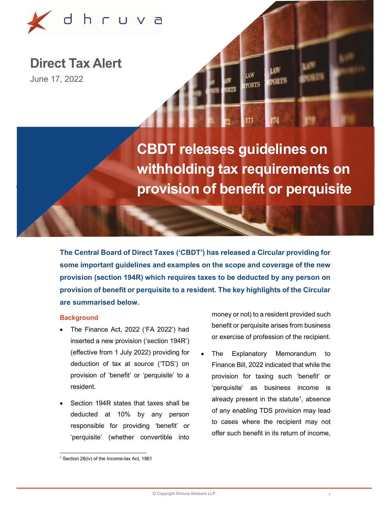

Direct Tax Alert

June 17, 2022

# CBDT releases guidelines on withholding tax requirements on provision of benefit or perquisite

**EPORTS** 

The Central Board of Direct Taxes ('CBDT') has released a Circular providing for some important guidelines and examples on the scope and coverage of the new provision (section 194R) which requires taxes to be deducted by any person on provision of benefit or perquisite to a resident. The key highlights of the Circular are summarised below.

### **Background**

- The Finance Act, 2022 ('FA 2022') had inserted a new provision ('section 194R') (effective from 1 July 2022) providing for deduction of tax at source ('TDS') on provision of 'benefit' or 'perquisite' to a resident.
- Section 194R states that taxes shall be deducted at 10% by any person responsible for providing 'benefit' or 'perquisite' (whether convertible into

money or not) to a resident provided such benefit or perquisite arises from business or exercise of profession of the recipient.

 The Explanatory Memorandum to Finance Bill, 2022 indicated that while the provision for taxing such 'benefit' or 'perquisite' as business income is already present in the statute<sup>1</sup>, absence of any enabling TDS provision may lead to cases where the recipient may not offer such benefit in its return of income,

<sup>1</sup> Section 28(iv) of the Income-tax Act, 1961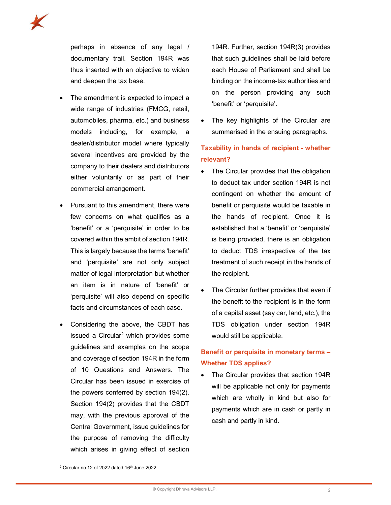

perhaps in absence of any legal / documentary trail. Section 194R was thus inserted with an objective to widen and deepen the tax base.

- The amendment is expected to impact a wide range of industries (FMCG, retail, automobiles, pharma, etc.) and business models including, for example, a dealer/distributor model where typically several incentives are provided by the company to their dealers and distributors either voluntarily or as part of their commercial arrangement.
- Pursuant to this amendment, there were few concerns on what qualifies as a 'benefit' or a 'perquisite' in order to be covered within the ambit of section 194R. This is largely because the terms 'benefit' and 'perquisite' are not only subject matter of legal interpretation but whether an item is in nature of 'benefit' or 'perquisite' will also depend on specific facts and circumstances of each case.
- Considering the above, the CBDT has issued a Circular<sup>2</sup> which provides some guidelines and examples on the scope and coverage of section 194R in the form of 10 Questions and Answers. The Circular has been issued in exercise of the powers conferred by section 194(2). Section 194(2) provides that the CBDT may, with the previous approval of the Central Government, issue guidelines for the purpose of removing the difficulty which arises in giving effect of section

194R. Further, section 194R(3) provides that such guidelines shall be laid before each House of Parliament and shall be binding on the income-tax authorities and on the person providing any such 'benefit' or 'perquisite'.

 The key highlights of the Circular are summarised in the ensuing paragraphs.

# Taxability in hands of recipient - whether relevant?

- The Circular provides that the obligation to deduct tax under section 194R is not contingent on whether the amount of benefit or perquisite would be taxable in the hands of recipient. Once it is established that a 'benefit' or 'perquisite' is being provided, there is an obligation to deduct TDS irrespective of the tax treatment of such receipt in the hands of the recipient.
- The Circular further provides that even if the benefit to the recipient is in the form of a capital asset (say car, land, etc.), the TDS obligation under section 194R would still be applicable.

## Benefit or perquisite in monetary terms – Whether TDS applies?

 The Circular provides that section 194R will be applicable not only for payments which are wholly in kind but also for payments which are in cash or partly in cash and partly in kind.

 $2$  Circular no 12 of 2022 dated 16<sup>th</sup> June 2022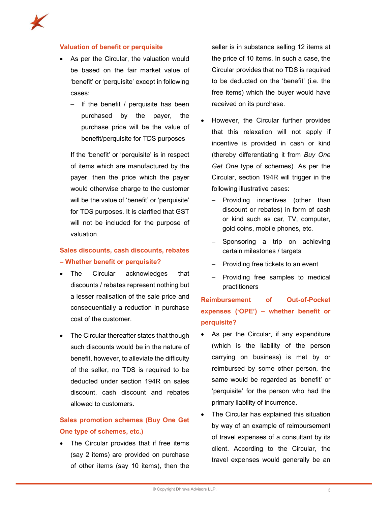#### Valuation of benefit or perquisite

- As per the Circular, the valuation would be based on the fair market value of 'benefit' or 'perquisite' except in following cases:
	- ‒ If the benefit / perquisite has been purchased by the payer, the purchase price will be the value of benefit/perquisite for TDS purposes

If the 'benefit' or 'perquisite' is in respect of items which are manufactured by the payer, then the price which the payer would otherwise charge to the customer will be the value of 'benefit' or 'perquisite' for TDS purposes. It is clarified that GST will not be included for the purpose of valuation.

### Sales discounts, cash discounts, rebates – Whether benefit or perquisite?

- The Circular acknowledges that discounts / rebates represent nothing but a lesser realisation of the sale price and consequentially a reduction in purchase cost of the customer.
- The Circular thereafter states that though such discounts would be in the nature of benefit, however, to alleviate the difficulty of the seller, no TDS is required to be deducted under section 194R on sales discount, cash discount and rebates allowed to customers.

### Sales promotion schemes (Buy One Get One type of schemes, etc.)

 The Circular provides that if free items (say 2 items) are provided on purchase of other items (say 10 items), then the seller is in substance selling 12 items at the price of 10 items. In such a case, the Circular provides that no TDS is required to be deducted on the 'benefit' (i.e. the free items) which the buyer would have received on its purchase.

- However, the Circular further provides that this relaxation will not apply if incentive is provided in cash or kind (thereby differentiating it from Buy One Get One type of schemes). As per the Circular, section 194R will trigger in the following illustrative cases:
	- ‒ Providing incentives (other than discount or rebates) in form of cash or kind such as car, TV, computer, gold coins, mobile phones, etc.
	- ‒ Sponsoring a trip on achieving certain milestones / targets
	- ‒ Providing free tickets to an event
	- ‒ Providing free samples to medical practitioners

# Reimbursement of Out-of-Pocket expenses ('OPE') – whether benefit or perquisite?

- As per the Circular, if any expenditure (which is the liability of the person carrying on business) is met by or reimbursed by some other person, the same would be regarded as 'benefit' or 'perquisite' for the person who had the primary liability of incurrence.
- The Circular has explained this situation by way of an example of reimbursement of travel expenses of a consultant by its client. According to the Circular, the travel expenses would generally be an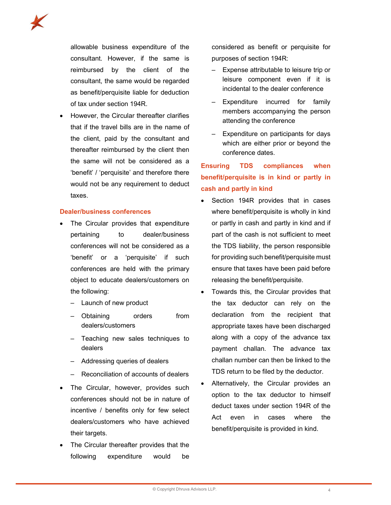

allowable business expenditure of the consultant. However, if the same is reimbursed by the client of the consultant, the same would be regarded as benefit/perquisite liable for deduction of tax under section 194R.

 However, the Circular thereafter clarifies that if the travel bills are in the name of the client, paid by the consultant and thereafter reimbursed by the client then the same will not be considered as a 'benefit' / 'perquisite' and therefore there would not be any requirement to deduct taxes.

#### Dealer/business conferences

- The Circular provides that expenditure pertaining to dealer/business conferences will not be considered as a 'benefit' or a 'perquisite' if such conferences are held with the primary object to educate dealers/customers on the following:
	- Launch of new product
	- ‒ Obtaining orders from dealers/customers
	- ‒ Teaching new sales techniques to dealers
	- ‒ Addressing queries of dealers
	- ‒ Reconciliation of accounts of dealers
- The Circular, however, provides such conferences should not be in nature of incentive / benefits only for few select dealers/customers who have achieved their targets.
- The Circular thereafter provides that the following expenditure would be

considered as benefit or perquisite for purposes of section 194R:

- ‒ Expense attributable to leisure trip or leisure component even if it is incidental to the dealer conference
- Expenditure incurred for family members accompanying the person attending the conference
- ‒ Expenditure on participants for days which are either prior or beyond the conference dates.

# Ensuring TDS compliances when benefit/perquisite is in kind or partly in cash and partly in kind

- Section 194R provides that in cases where benefit/perquisite is wholly in kind or partly in cash and partly in kind and if part of the cash is not sufficient to meet the TDS liability, the person responsible for providing such benefit/perquisite must ensure that taxes have been paid before releasing the benefit/perquisite.
- Towards this, the Circular provides that the tax deductor can rely on the declaration from the recipient that appropriate taxes have been discharged along with a copy of the advance tax payment challan. The advance tax challan number can then be linked to the TDS return to be filed by the deductor.
- Alternatively, the Circular provides an option to the tax deductor to himself deduct taxes under section 194R of the Act even in cases where the benefit/perquisite is provided in kind.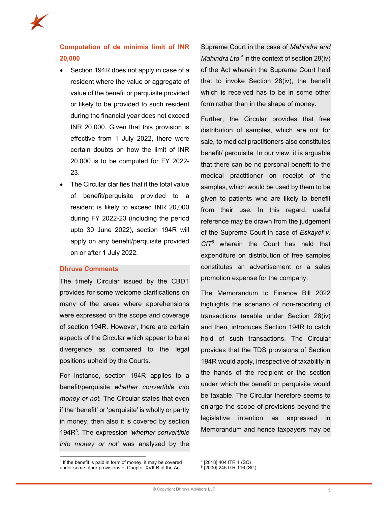

# Computation of de minimis limit of INR 20,000

- Section 194R does not apply in case of a resident where the value or aggregate of value of the benefit or perquisite provided or likely to be provided to such resident during the financial year does not exceed INR 20,000. Given that this provision is effective from 1 July 2022, there were certain doubts on how the limit of INR 20,000 is to be computed for FY 2022- 23.
- The Circular clarifies that if the total value of benefit/perquisite provided to a resident is likely to exceed INR 20,000 during FY 2022-23 (including the period upto 30 June 2022), section 194R will apply on any benefit/perquisite provided on or after 1 July 2022.

### Dhruva Comments

The timely Circular issued by the CBDT provides for some welcome clarifications on many of the areas where apprehensions were expressed on the scope and coverage of section 194R. However, there are certain aspects of the Circular which appear to be at divergence as compared to the legal positions upheld by the Courts.

For instance, section 194R applies to a benefit/perquisite whether convertible into money or not. The Circular states that even if the 'benefit' or 'perquisite' is wholly or partly in money, then also it is covered by section 194R<sup>3</sup>. The expression 'whether convertible into money or not' was analysed by the

Supreme Court in the case of Mahindra and Mahindra Ltd<sup>4</sup> in the context of section 28(iv) of the Act wherein the Supreme Court held that to invoke Section 28(iv), the benefit which is received has to be in some other form rather than in the shape of money.

Further, the Circular provides that free distribution of samples, which are not for sale, to medical practitioners also constitutes benefit/ perquisite. In our view, it is arguable that there can be no personal benefit to the medical practitioner on receipt of the samples, which would be used by them to be given to patients who are likely to benefit from their use. In this regard, useful reference may be drawn from the judgement of the Supreme Court in case of Eskayef v.  $CIT<sup>5</sup>$  wherein the Court has held that expenditure on distribution of free samples constitutes an advertisement or a sales promotion expense for the company.

The Memorandum to Finance Bill 2022 highlights the scenario of non-reporting of transactions taxable under Section 28(iv) and then, introduces Section 194R to catch hold of such transactions. The Circular provides that the TDS provisions of Section 194R would apply, irrespective of taxability in the hands of the recipient or the section under which the benefit or perquisite would be taxable. The Circular therefore seems to enlarge the scope of provisions beyond the legislative intention as expressed in Memorandum and hence taxpayers may be

<sup>&</sup>lt;sup>3</sup> If the benefit is paid in form of money, it may be covered under some other provisions of Chapter XVII-B of the Act

<sup>4</sup> [2018] 404 ITR 1 (SC)

<sup>5</sup> [2000] 245 ITR 116 (SC)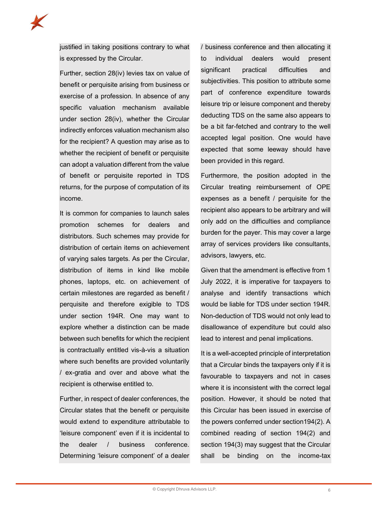

justified in taking positions contrary to what is expressed by the Circular.

Further, section 28(iv) levies tax on value of benefit or perquisite arising from business or exercise of a profession. In absence of any specific valuation mechanism available under section 28(iv), whether the Circular indirectly enforces valuation mechanism also for the recipient? A question may arise as to whether the recipient of benefit or perquisite can adopt a valuation different from the value of benefit or perquisite reported in TDS returns, for the purpose of computation of its income.

It is common for companies to launch sales promotion schemes for dealers and distributors. Such schemes may provide for distribution of certain items on achievement of varying sales targets. As per the Circular, distribution of items in kind like mobile phones, laptops, etc. on achievement of certain milestones are regarded as benefit / perquisite and therefore exigible to TDS under section 194R. One may want to explore whether a distinction can be made between such benefits for which the recipient is contractually entitled vis-à-vis a situation where such benefits are provided voluntarily / ex-gratia and over and above what the recipient is otherwise entitled to.

Further, in respect of dealer conferences, the Circular states that the benefit or perquisite would extend to expenditure attributable to 'leisure component' even if it is incidental to the dealer / business conference. Determining 'leisure component' of a dealer / business conference and then allocating it to individual dealers would present significant practical difficulties and subjectivities. This position to attribute some part of conference expenditure towards leisure trip or leisure component and thereby deducting TDS on the same also appears to be a bit far-fetched and contrary to the well accepted legal position. One would have expected that some leeway should have been provided in this regard.

Furthermore, the position adopted in the Circular treating reimbursement of OPE expenses as a benefit / perquisite for the recipient also appears to be arbitrary and will only add on the difficulties and compliance burden for the payer. This may cover a large array of services providers like consultants, advisors, lawyers, etc.

Given that the amendment is effective from 1 July 2022, it is imperative for taxpayers to analyse and identify transactions which would be liable for TDS under section 194R. Non-deduction of TDS would not only lead to disallowance of expenditure but could also lead to interest and penal implications.

It is a well-accepted principle of interpretation that a Circular binds the taxpayers only if it is favourable to taxpayers and not in cases where it is inconsistent with the correct legal position. However, it should be noted that this Circular has been issued in exercise of the powers conferred under section194(2). A combined reading of section 194(2) and section 194(3) may suggest that the Circular shall be binding on the income-tax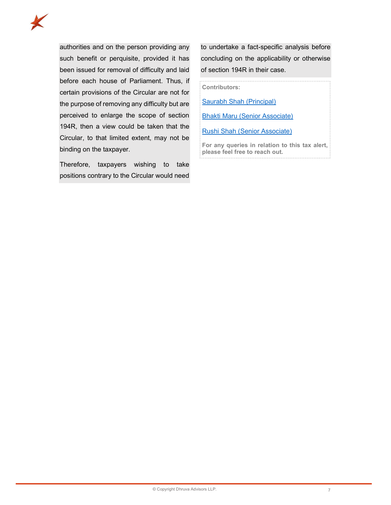

authorities and on the person providing any such benefit or perquisite, provided it has been issued for removal of difficulty and laid before each house of Parliament. Thus, if certain provisions of the Circular are not for the purpose of removing any difficulty but are perceived to enlarge the scope of section 194R, then a view could be taken that the Circular, to that limited extent, may not be binding on the taxpayer.

Therefore, taxpayers wishing to take positions contrary to the Circular would need to undertake a fact-specific analysis before concluding on the applicability or otherwise of section 194R in their case.

Contributors:

Saurabh Shah (Principal)

Bhakti Maru (Senior Associate)

Rushi Shah (Senior Associate)

For any queries in relation to this tax alert, please feel free to reach out.